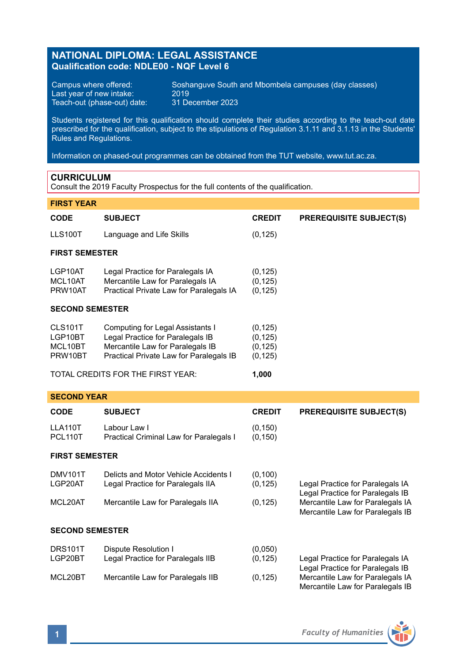## **NATIONAL DIPLOMA: LEGAL ASSISTANCE Qualification code: NDLE00 - NQF Level 6**

Last year of new intake:  $2019$ <br>Teach-out (phase-out) date: 31 December 2023 Teach-out (phase-out) date:

Campus where offered: Soshanguve South and Mbombela campuses (day classes)<br>Last vear of new intake: 2019

Students registered for this qualification should complete their studies according to the teach-out date prescribed for the qualification, subject to the stipulations of Regulation 3.1.11 and 3.1.13 in the Students' Rules and Regulations.

Information on phased-out programmes can be obtained from the TUT website, www.tut.ac.za.

### **CURRICULUM**

Consult the 2019 Faculty Prospectus for the full contents of the qualification.

# **FIRST YEAR CODE SUBJECT CREDIT PREREQUISITE SUBJECT(S)** LLS100T Language and Life Skills (0,125) **FIRST SEMESTER** LGP10AT Legal Practice for Paralegals IA (0,125)<br>MCL10AT Mercantile Law for Paralegals IA (0,125) MCL10AT Mercantile Law for Paralegals IA (0,125)<br>PRW10AT Practical Private Law for Paralegals IA (0,125) Practical Private Law for Paralegals IA **SECOND SEMESTER** CLS101T Computing for Legal Assistants I (0,125)<br>LGP10BT Legal Practice for Paralegals IB (0.125) LGP10BT Legal Practice for Paralegals IB (0,125)<br>MCL10BT Mercantile Law for Paralegals IB (0.125) MCL10BT Mercantile Law for Paralegals IB (0,125)<br>PRW10BT Practical Private Law for Paralegals IB (0,125) Practical Private Law for Paralegals IB TOTAL CREDITS FOR THE FIRST YEAR: **1,000 SECOND YEAR CODE SUBJECT CREDIT PREREQUISITE SUBJECT(S)** LLA110T Labour Law I (0,150) PCL110T Practical Criminal Law for Paralegals I (0,150)

### **FIRST SEMESTER**

| DMV101T | Delicts and Motor Vehicle Accidents I | (0.100)  |                                  |
|---------|---------------------------------------|----------|----------------------------------|
| LGP20AT | Legal Practice for Paralegals IIA     | (0.125)  | Legal Practice for Paralegals IA |
|         |                                       |          | Legal Practice for Paralegals IB |
| MCL20AT | Mercantile Law for Paralegals IIA     | (0, 125) | Mercantile Law for Paralegals IA |

### **SECOND SEMESTER**

| DRS101T | Dispute Resolution I              | (0.050)  |                                  |
|---------|-----------------------------------|----------|----------------------------------|
| LGP20BT | Legal Practice for Paralegals IIB | (0.125)  | Legal Practice for Paralegals IA |
|         |                                   |          | Legal Practice for Paralegals IB |
| MCL20BT | Mercantile Law for Paralegals IIB | (0, 125) | Mercantile Law for Paralegals IA |
|         |                                   |          | Mercantile Law for Paralegals IB |

Mercantile Law for Paralegals IB

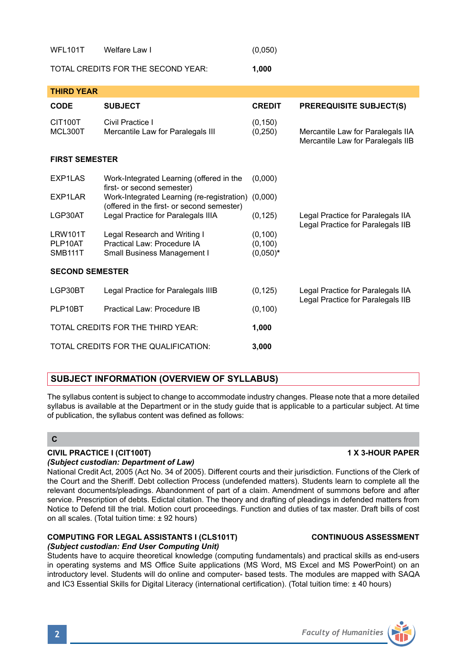| TUTAL UNEDITS FUN THE SEUUND TEAN. |                                                                                                  | uvv, i               |                                                                        |  |  |  |  |
|------------------------------------|--------------------------------------------------------------------------------------------------|----------------------|------------------------------------------------------------------------|--|--|--|--|
| <b>THIRD YEAR</b>                  |                                                                                                  |                      |                                                                        |  |  |  |  |
| <b>CODE</b>                        | <b>SUBJECT</b>                                                                                   | <b>CREDIT</b>        | <b>PREREQUISITE SUBJECT(S)</b>                                         |  |  |  |  |
| CIT100T<br>MCL300T                 | Civil Practice I<br>Mercantile Law for Paralegals III                                            | (0, 150)<br>(0, 250) | Mercantile Law for Paralegals IIA<br>Mercantile Law for Paralegals IIB |  |  |  |  |
| <b>FIRST SEMESTER</b>              |                                                                                                  |                      |                                                                        |  |  |  |  |
| EXP1LAS                            | Work-Integrated Learning (offered in the<br>first- or second semester)                           | (0,000)              |                                                                        |  |  |  |  |
| EXP1LAR                            | Work-Integrated Learning (re-registration) (0,000)<br>(offered in the first- or second semester) |                      |                                                                        |  |  |  |  |
| LGP30AT                            | Legal Practice for Paralegals IIIA                                                               | (0, 125)             | Legal Practice for Paralegals IIA<br>Legal Practice for Paralegals IIB |  |  |  |  |
| LRW101T<br>PLP10AT                 | Legal Research and Writing I<br>Practical Law: Procedure IA                                      | (0, 100)<br>(0, 100) |                                                                        |  |  |  |  |
| <b>SMB111T</b>                     | Small Business Management I                                                                      | $(0,050)*$           |                                                                        |  |  |  |  |
| <b>SECOND SEMESTER</b>             |                                                                                                  |                      |                                                                        |  |  |  |  |
| LGP30BT                            | Legal Practice for Paralegals IIIB                                                               | (0, 125)             | Legal Practice for Paralegals IIA<br>Legal Practice for Paralegals IIB |  |  |  |  |
| PLP10BT                            | Practical Law: Procedure IB                                                                      | (0, 100)             |                                                                        |  |  |  |  |
| TOTAL CREDITS FOR THE THIRD YEAR:  |                                                                                                  | 1,000                |                                                                        |  |  |  |  |

## **SUBJECT INFORMATION (OVERVIEW OF SYLLABUS)**

TOTAL CREDITS FOR THE QUALIFICATION: **3,000**

WFL101T Welfare Law I (0,050) TOTAL CREDITS FOR THE SECOND YEAR: **1,000**

The syllabus content is subject to change to accommodate industry changes. Please note that a more detailed syllabus is available at the Department or in the study guide that is applicable to a particular subject. At time of publication, the syllabus content was defined as follows:

### **C**

#### **CIVIL PRACTICE I (CIT100T) 1 X 3-HOUR PAPER** *(Subject custodian: Department of Law)*

National Credit Act, 2005 (Act No. 34 of 2005). Different courts and their jurisdiction. Functions of the Clerk of the Court and the Sheriff. Debt collection Process (undefended matters). Students learn to complete all the relevant documents/pleadings. Abandonment of part of a claim. Amendment of summons before and after service. Prescription of debts. Edictal citation. The theory and drafting of pleadings in defended matters from Notice to Defend till the trial. Motion court proceedings. Function and duties of tax master. Draft bills of cost on all scales. (Total tuition time: ± 92 hours)

#### **COMPUTING FOR LEGAL ASSISTANTS I (CLS101T) CONTINUOUS ASSESSMENT** *(Subject custodian: End User Computing Unit)*

Students have to acquire theoretical knowledge (computing fundamentals) and practical skills as end-users in operating systems and MS Office Suite applications (MS Word, MS Excel and MS PowerPoint) on an introductory level. Students will do online and computer- based tests. The modules are mapped with SAQA and IC3 Essential Skills for Digital Literacy (international certification). (Total tuition time: ± 40 hours)

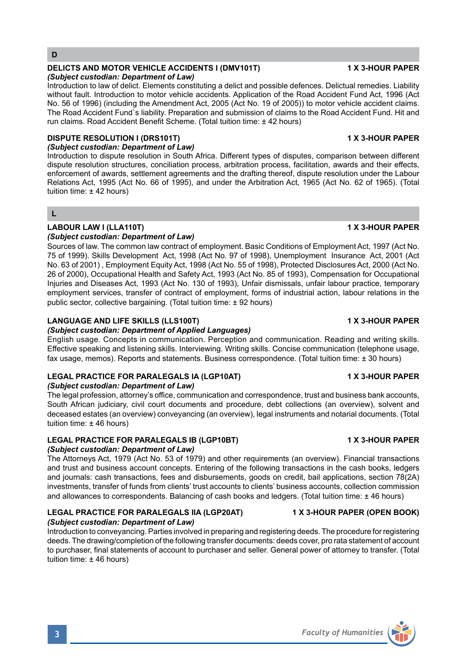**D**

#### **DELICTS AND MOTOR VEHICLE ACCIDENTS I (DMV101T) 4 X 3-HOUR PAPER** *(Subject custodian: Department of Law)*

Introduction to law of delict. Elements constituting a delict and possible defences. Delictual remedies. Liability without fault. Introduction to motor vehicle accidents. Application of the Road Accident Fund Act, 1996 (Act No. 56 of 1996) (including the Amendment Act, 2005 (Act No. 19 of 2005)) to motor vehicle accident claims. The Road Accident Fund`s liability. Preparation and submission of claims to the Road Accident Fund. Hit and run claims. Road Accident Benefit Scheme. (Total tuition time: ± 42 hours)

## **DISPUTE RESOLUTION I (DRS101T) 1 X 3-HOUR PAPER**

*(Subject custodian: Department of Law)*

Introduction to dispute resolution in South Africa. Different types of disputes, comparison between different dispute resolution structures, conciliation process, arbitration process, facilitation, awards and their effects, enforcement of awards, settlement agreements and the drafting thereof, dispute resolution under the Labour Relations Act, 1995 (Act No. 66 of 1995), and under the Arbitration Act, 1965 (Act No. 62 of 1965). (Total tuition time:  $\pm$  42 hours)

### **L**

### **LABOUR LAW I (LLA110T) 1 X 3-HOUR PAPER**

### *(Subject custodian: Department of Law)*

Sources of law. The common law contract of employment. Basic Conditions of Employment Act, 1997 (Act No. 75 of 1999). Skills Development Act, 1998 (Act No. 97 of 1998), Unemployment Insurance Act, 2001 (Act No. 63 of 2001) , Employment Equity Act, 1998 (Act No. 55 of 1998), Protected Disclosures Act, 2000 (Act No. 26 of 2000), Occupational Health and Safety Act, 1993 (Act No. 85 of 1993), Compensation for Occupational Injuries and Diseases Act, 1993 (Act No. 130 of 1993), Unfair dismissals, unfair labour practice, temporary employment services, transfer of contract of employment, forms of industrial action, labour relations in the public sector, collective bargaining. (Total tuition time: ± 92 hours)

### **LANGUAGE AND LIFE SKILLS (LLS100T) 1 X 3-HOUR PAPER**

### *(Subject custodian: Department of Applied Languages)*

English usage. Concepts in communication. Perception and communication. Reading and writing skills. Effective speaking and listening skills. Interviewing. Writing skills. Concise communication (telephone usage, fax usage, memos). Reports and statements. Business correspondence. (Total tuition time: ± 30 hours)

### **LEGAL PRACTICE FOR PARALEGALS IA (LGP10AT) 1 X 3-HOUR PAPER**

### *(Subject custodian: Department of Law)*

The legal profession, attorney's office, communication and correspondence, trust and business bank accounts, South African judiciary, civil court documents and procedure, debt collections (an overview), solvent and deceased estates (an overview) conveyancing (an overview), legal instruments and notarial documents. (Total tuition time: ± 46 hours)

#### LEGAL PRACTICE FOR PARALEGALS IB (LGP10BT) 1 X 3-HOUR PAPER *(Subject custodian: Department of Law)*

The Attorneys Act, 1979 (Act No. 53 of 1979) and other requirements (an overview). Financial transactions and trust and business account concepts. Entering of the following transactions in the cash books, ledgers and journals: cash transactions, fees and disbursements, goods on credit, bail applications, section 78(2A) investments, transfer of funds from clients' trust accounts to clients' business accounts, collection commission and allowances to correspondents. Balancing of cash books and ledgers. (Total tuition time: ± 46 hours)

#### **LEGAL PRACTICE FOR PARALEGALS IIA (LGP20AT) 1 X 3-HOUR PAPER (OPEN BOOK)** *(Subject custodian: Department of Law)*

Introduction to conveyancing. Parties involved in preparing and registering deeds. The procedure for registering deeds. The drawing/completion of the following transfer documents: deeds cover, pro rata statement of account to purchaser, final statements of account to purchaser and seller. General power of attorney to transfer. (Total tuition time: ± 46 hours)

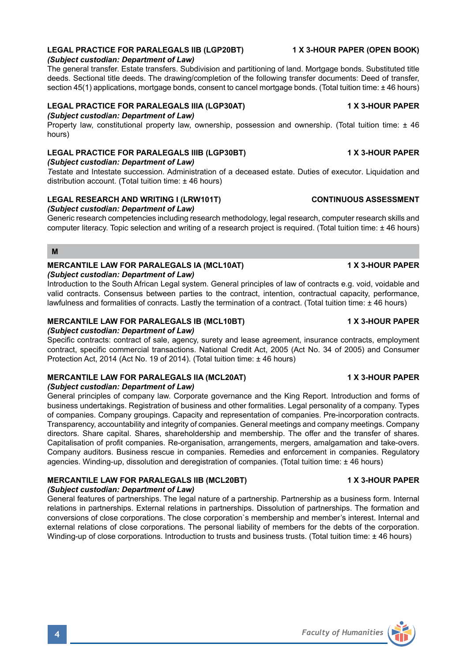### **LEGAL PRACTICE FOR PARALEGALS IIB (LGP20BT) 1 X 3-HOUR PAPER (OPEN BOOK)**

#### *(Subject custodian: Department of Law)*

The general transfer. Estate transfers. Subdivision and partitioning of land. Mortgage bonds. Substituted title deeds. Sectional title deeds. The drawing/completion of the following transfer documents: Deed of transfer, section 45(1) applications, mortgage bonds, consent to cancel mortgage bonds. (Total tuition time: ± 46 hours)

## **LEGAL PRACTICE FOR PARALEGALS IIIA (LGP30AT) 1 X 3-HOUR PAPER**

*(Subject custodian: Department of Law)*

Property law, constitutional property law, ownership, possession and ownership. (Total tuition time: ± 46 hours)

### **LEGAL PRACTICE FOR PARALEGALS IIIB (LGP30BT) 1 X 3-HOUR PAPER**

*(Subject custodian: Department of Law)*

*T*estate and Intestate succession. Administration of a deceased estate. Duties of executor. Liquidation and distribution account. (Total tuition time: +46 hours)

## **LEGAL RESEARCH AND WRITING I (LRW101T) CONTINUOUS ASSESSMENT**

*(Subject custodian: Department of Law)*

Generic research competencies including research methodology, legal research, computer research skills and computer literacy. Topic selection and writing of a research project is required. (Total tuition time: ± 46 hours)

#### **M**

#### **MERCANTILE LAW FOR PARALEGALS IA (MCL10AT) 1 X 3-HOUR PAPER** *(Subject custodian: Department of Law)*

Introduction to the South African Legal system. General principles of law of contracts e.g. void, voidable and valid contracts. Consensus between parties to the contract, intention, contractual capacity, performance, lawfulness and formalities of conracts. Lastly the termination of a contract. (Total tuition time: ± 46 hours)

#### **MERCANTILE LAW FOR PARALEGALS IB (MCL10BT) 1 X 3-HOUR PAPER**

*(Subject custodian: Department of Law)*

Specific contracts: contract of sale, agency, surety and lease agreement, insurance contracts, employment contract, specific commercial transactions. National Credit Act, 2005 (Act No. 34 of 2005) and Consumer Protection Act, 2014 (Act No. 19 of 2014). (Total tuition time: ± 46 hours)

### **MERCANTILE LAW FOR PARALEGALS IIA (MCL20AT) 1 X 3-HOUR PAPER**

*(Subject custodian: Department of Law)*

General principles of company law. Corporate governance and the King Report. Introduction and forms of business undertakings. Registration of business and other formalities. Legal personality of a company. Types of companies. Company groupings. Capacity and representation of companies. Pre-incorporation contracts. Transparency, accountability and integrity of companies. General meetings and company meetings. Company directors. Share capital. Shares, shareholdership and membership. The offer and the transfer of shares. Capitalisation of profit companies. Re-organisation, arrangements, mergers, amalgamation and take-overs. Company auditors. Business rescue in companies. Remedies and enforcement in companies. Regulatory agencies. Winding-up, dissolution and deregistration of companies. (Total tuition time: ± 46 hours)

### **MERCANTILE LAW FOR PARALEGALS IIB (MCL20BT) 1 X 3-HOUR PAPER**

### *(Subject custodian: Department of Law)*

General features of partnerships. The legal nature of a partnership. Partnership as a business form. Internal relations in partnerships. External relations in partnerships. Dissolution of partnerships. The formation and conversions of close corporations. The close corporation`s membership and member's interest. Internal and external relations of close corporations. The personal liability of members for the debts of the corporation. Winding-up of close corporations. Introduction to trusts and business trusts. (Total tuition time: ± 46 hours)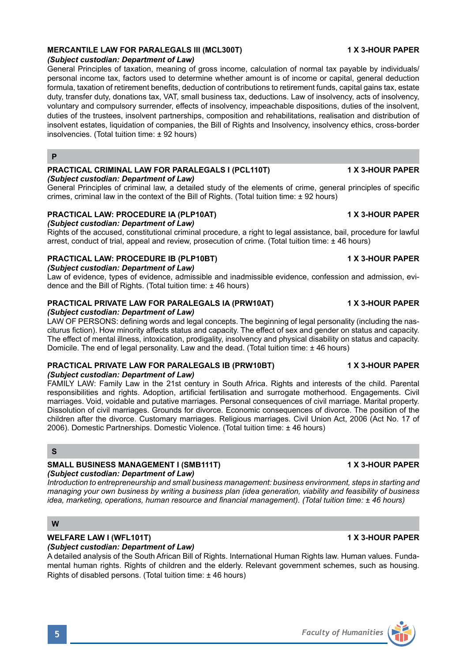### **MERCANTILE LAW FOR PARALEGALS III (MCL300T) 1 X 3-HOUR PAPER**

#### *(Subject custodian: Department of Law)*

General Principles of taxation, meaning of gross income, calculation of normal tax payable by individuals/ personal income tax, factors used to determine whether amount is of income or capital, general deduction formula, taxation of retirement benefits, deduction of contributions to retirement funds, capital gains tax, estate duty, transfer duty, donations tax, VAT, small business tax, deductions. Law of insolvency, acts of insolvency, voluntary and compulsory surrender, effects of insolvency, impeachable dispositions, duties of the insolvent, duties of the trustees, insolvent partnerships, composition and rehabilitations, realisation and distribution of insolvent estates, liquidation of companies, the Bill of Rights and Insolvency, insolvency ethics, cross-border insolvencies. (Total tuition time: ± 92 hours)

### **P**

### **PRACTICAL CRIMINAL LAW FOR PARALEGALS I (PCL110T) 1 X 3-HOUR PAPER**

*(Subject custodian: Department of Law)*

General Principles of criminal law, a detailed study of the elements of crime, general principles of specific crimes, criminal law in the context of the Bill of Rights. (Total tuition time: ± 92 hours)

### **PRACTICAL LAW: PROCEDURE IA (PLP10AT) 1 X 3-HOUR PAPER**

*(Subject custodian: Department of Law)* 

Rights of the accused, constitutional criminal procedure, a right to legal assistance, bail, procedure for lawful arrest, conduct of trial, appeal and review, prosecution of crime. (Total tuition time: ± 46 hours)

### **PRACTICAL LAW: PROCEDURE IB (PLP10BT) 1 X 3-HOUR PAPER**

*(Subject custodian: Department of Law)*

Law of evidence, types of evidence, admissible and inadmissible evidence, confession and admission, evidence and the Bill of Rights. (Total tuition time: ± 46 hours)

## **PRACTICAL PRIVATE LAW FOR PARALEGALS IA (PRW10AT) 1 X 3-HOUR PAPER**

*(Subject custodian: Department of Law)*

LAW OF PERSONS: defining words and legal concepts. The beginning of legal personality (including the nasciturus fiction). How minority affects status and capacity. The effect of sex and gender on status and capacity. The effect of mental illness, intoxication, prodigality, insolvency and physical disability on status and capacity. Domicile. The end of legal personality. Law and the dead. (Total tuition time: ± 46 hours)

### **PRACTICAL PRIVATE LAW FOR PARALEGALS IB (PRW10BT) 1 X 3-HOUR PAPER**

#### *(Subject custodian: Department of Law)*

FAMILY LAW: Family Law in the 21st century in South Africa. Rights and interests of the child. Parental responsibilities and rights. Adoption, artificial fertilisation and surrogate motherhood. Engagements. Civil marriages. Void, voidable and putative marriages. Personal consequences of civil marriage. Marital property. Dissolution of civil marriages. Grounds for divorce. Economic consequences of divorce. The position of the children after the divorce. Customary marriages. Religious marriages. Civil Union Act, 2006 (Act No. 17 of 2006). Domestic Partnerships. Domestic Violence. (Total tuition time: ± 46 hours)

### **S**

# SMALL BUSINESS MANAGEMENT I (SMB111T) 1 1 X 3-HOUR PAPER

### *(Subject custodian: Department of Law)*

*Introduction to entrepreneurship and small business management: business environment, steps in starting and managing your own business by writing a business plan (idea generation, viability and feasibility of business idea, marketing, operations, human resource and financial management). (Total tuition time: ± 46 hours)*

### **W**

## **WELFARE LAW I (WFL101T) 1 X 3-HOUR PAPER**

*(Subject custodian: Department of Law)*

A detailed analysis of the South African Bill of Rights. International Human Rights law. Human values. Fundamental human rights. Rights of children and the elderly. Relevant government schemes, such as housing. Rights of disabled persons. (Total tuition time: ± 46 hours)